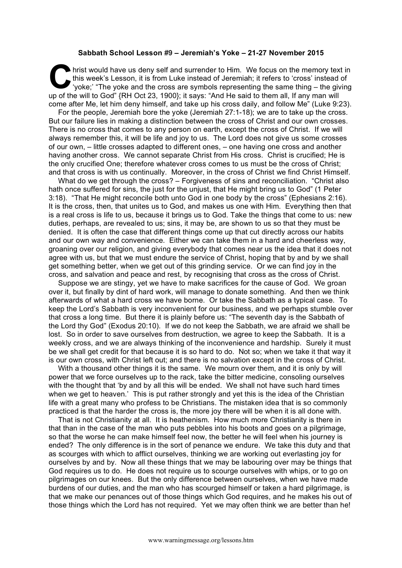## **Sabbath School Lesson #9 – Jeremiah's Yoke – 21-27 November 2015**

hrist would have us deny self and surrender to Him. We focus on the memory text in this week's Lesson, it is from Luke instead of Jeremiah; it refers to 'cross' instead of 'yoke;' "The yoke and the cross are symbols representing the same thing – the giving hrist would have us deny self and surrender to Him. We focus on the memory tex<br>this week's Lesson, it is from Luke instead of Jeremiah; it refers to 'cross' instead<br>'yoke;' "The yoke and the cross are symbols representing come after Me, let him deny himself, and take up his cross daily, and follow Me" (Luke 9:23).

For the people, Jeremiah bore the yoke (Jeremiah 27:1-18); we are to take up the cross. But our failure lies in making a distinction between the cross of Christ and our own crosses. There is no cross that comes to any person on earth, except the cross of Christ. If we will always remember this, it will be life and joy to us. The Lord does not give us some crosses of our own, – little crosses adapted to different ones, – one having one cross and another having another cross. We cannot separate Christ from His cross. Christ is crucified; He is the only crucified One; therefore whatever cross comes to us must be the cross of Christ; and that cross is with us continually. Moreover, in the cross of Christ we find Christ Himself.

What do we get through the cross? – Forgiveness of sins and reconciliation. "Christ also hath once suffered for sins, the just for the unjust, that He might bring us to God" (1 Peter 3:18). "That He might reconcile both unto God in one body by the cross" (Ephesians 2:16). It is the cross, then, that unites us to God, and makes us one with Him. Everything then that is a real cross is life to us, because it brings us to God. Take the things that come to us: new duties, perhaps, are revealed to us; sins, it may be, are shown to us so that they must be denied. It is often the case that different things come up that cut directly across our habits and our own way and convenience. Either we can take them in a hard and cheerless way, groaning over our religion, and giving everybody that comes near us the idea that it does not agree with us, but that we must endure the service of Christ, hoping that by and by we shall get something better, when we get out of this grinding service. Or we can find joy in the cross, and salvation and peace and rest, by recognising that cross as the cross of Christ.

Suppose we are stingy, yet we have to make sacrifices for the cause of God. We groan over it, but finally by dint of hard work, will manage to donate something. And then we think afterwards of what a hard cross we have borne. Or take the Sabbath as a typical case. To keep the Lord's Sabbath is very inconvenient for our business, and we perhaps stumble over that cross a long time. But there it is plainly before us: "The seventh day is the Sabbath of the Lord thy God" (Exodus 20:10). If we do not keep the Sabbath, we are afraid we shall be lost. So in order to save ourselves from destruction, we agree to keep the Sabbath. It is a weekly cross, and we are always thinking of the inconvenience and hardship. Surely it must be we shall get credit for that because it is so hard to do. Not so; when we take it that way it is our own cross, with Christ left out; and there is no salvation except in the cross of Christ.

With a thousand other things it is the same. We mourn over them, and it is only by will power that we force ourselves up to the rack, take the bitter medicine, consoling ourselves with the thought that 'by and by all this will be ended. We shall not have such hard times when we get to heaven.' This is put rather strongly and yet this is the idea of the Christian life with a great many who profess to be Christians. The mistaken idea that is so commonly practiced is that the harder the cross is, the more joy there will be when it is all done with.

That is not Christianity at all. It is heathenism. How much more Christianity is there in that than in the case of the man who puts pebbles into his boots and goes on a pilgrimage, so that the worse he can make himself feel now, the better he will feel when his journey is ended? The only difference is in the sort of penance we endure. We take this duty and that as scourges with which to afflict ourselves, thinking we are working out everlasting joy for ourselves by and by. Now all these things that we may be labouring over may be things that God requires us to do. He does not require us to scourge ourselves with whips, or to go on pilgrimages on our knees. But the only difference between ourselves, when we have made burdens of our duties, and the man who has scourged himself or taken a hard pilgrimage, is that we make our penances out of those things which God requires, and he makes his out of those things which the Lord has not required. Yet we may often think we are better than he!